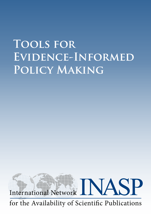# **Tools for Evidence-Informed Policy Making**



for the Availability of Scientific Publications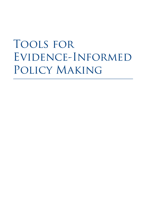# Tools for Evidence-Informed Policy Making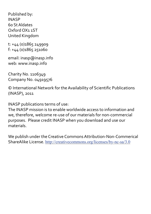Published by: INASP 60 St Aldates Oxford OX1 1ST United Kingdom

t: +44 (0)1865 249909 f: +44 (0)1865 251060

email: inasp@inasp.info web: www.inasp.info

Charity No. 1106349 Company No. 04919576

© International Network for the Availability of Scientific Publications (INASP), 2011

INASP publications terms of use:

The INASP mission is to enable worldwide access to information and we, therefore, welcome re-use of our materials for non-commercial purposes. Please credit INASP when you download and use our materials.

We publish under the Creative Commons Attribution-Non-Commerical ShareAlike License. <http://creativecommons.org/licenses/by-nc-sa/3.0>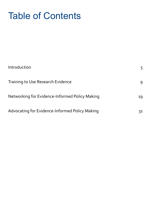# Table of Contents

| Introduction                                   | 5. |
|------------------------------------------------|----|
| <b>Training to Use Research Evidence</b>       | 9  |
| Networking for Evidence-Informed Policy Making | 19 |
| Advocating for Evidence-Informed Policy Making | 31 |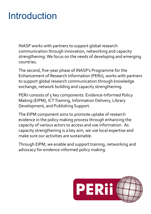# Introduction

INASP works with partners to support global research communication through innovation, networking and capacity strengthening. We focus on the needs of developing and emerging countries.

The second, five-year phase of INASP's Programme for the Enhancement of Research Information (PERii), works with partners to support global research communication through knowledge exchange, network building and capacity strengthening.

PERii consists of 5 key components: Evidence-Informed Policy Making (EIPM), ICT Training, Information Delivery, Library Development, and Publishing Support.

The EIPM component aims to promote uptake of research evidence in the policy making process through enhancing the capacity of various actors to access and use information. As capacity strengthening is a key aim, we use local expertise and make sure our activities are sustainable.

Through EIPM, we enable and support training, networking and advocacy for evidence-informed policy making.

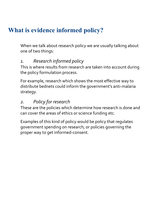## **What is evidence informed policy?**

When we talk about research policy we are usually talking about one of two things:

#### *1. Research informed policy*

This is where results from research are taken into account during the policy formulation process.

For example, research which shows the most effective way to distribute bednets could inform the government's anti-malaria strategy.

#### *2. Policy for research*

These are the policies which determine how research is done and can cover the areas of ethics or science funding etc.

Examples of this kind of policy would be policy that regulates government spending on research; or policies governing the proper way to get informed-consent.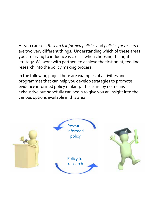As you can see, *Research informed policies* and *policies for research* are two very different things. Understanding which of these areas you are trying to influence is crucial when choosing the right strategy. We work with partners to achieve the first point, feeding research into the policy making process.

In the following pages there are examples of activities and programmes that can help you develop strategies to promote evidence informed policy making. These are by no means exhaustive but hopefully can begin to give you an insight into the various options available in this area.

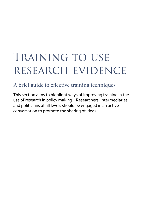# TRAINING TO USE research evidence

## A brief guide to effective training techniques

This section aims to highlight ways of improving training in the use of research in policy making. Researchers, intermediaries and politicians at all levels should be engaged in an active conversation to promote the sharing of ideas.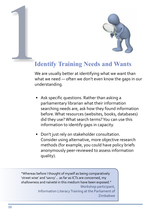

# 1 **Identify Training Needs and Wants**

We are usually better at identifying what we want than what we need — often we don't even know the gaps in our understanding.

- Ask specific questions. Rather than asking a parliamentary librarian what their information searching needs are, ask how they found information before. What resources (websites, books, databases) did they use? What search terms? You can use this information to identify gaps in capacity.
- • Don't just rely on stakeholder consultation. Consider using alternative, more objective research methods (for example, you could have policy briefs anonymously peer-reviewed to assess information quality).

"Whereas before I thought of myself as being comparatively 'street wise' and 'savvy'… as far as ICTs are concerned, my shallowness and naïveté in this medium have been exposed.'' Workshop participant, Information Literacy Training at the Parliament of Zimbabwe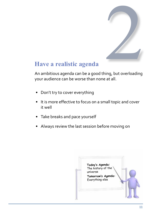

## **Have a realistic agenda**

An ambitious agenda can be a good thing, but overloading your audience can be worse than none at all.

- Don't try to cover everything
- • It is more effective to focus on a small topic and cover it well
- Take breaks and pace yourself
- Always review the last session before moving on

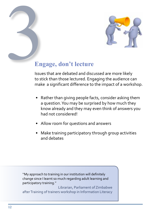

# **Engage, don't lecture** Eng<br>Bisuer

Issues that are debated and discussed are more likely to stick than those lectured. Engaging the audience can make a significant difference to the impact of a workshop.

- Rather than giving people facts, consider asking them a question. You may be surprised by how much they know already and they may even think of answers you had not considered!
- • Allow room for questions and answers
- Make training participatory through group activities and debates

''My approach to training in our institution will definitely change since I learnt so much regarding adult learning and participatory training.''

Librarian, Parliament of Zimbabwe after Training of trainers workshop in Information Literacy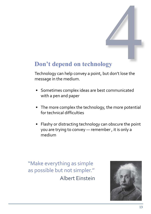# **Don't depend on technology**

Technology can help convey a point, but don't lose the gy<br>Digy<br>ut don't lose the message in the medium.

- • Sometimes complex ideas are best communicated with a pen and paper
- The more complex the technology, the more potential for technical difficulties
- Flashy or distracting technology can obscure the point you are trying to convey — remember , it is only a medium

"Make everything as simple as possible but not simpler.'' Albert Einstein

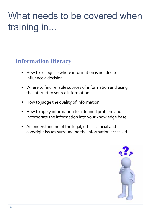# What needs to be covered when training in...

# **Information literacy**

- How to recognise where information is needed to influence a decision
- Where to find reliable sources of information and using the internet to source information
- • How to judge the quality of information
- How to apply information to a defined problem and incorporate the information into your knowledge base
- An understanding of the legal, ethical, social and copyright issues surrounding the information accessed

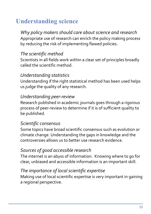# **Understanding science**

*Why policy makers should care about science and research* Appropriate use of research can enrich the policy making process by reducing the risk of implementing flawed policies.

#### *The scientific method*

Scientists in all fields work within a clear set of principles broadly called the scientific method.

#### *Understanding statistics*

Understanding if the right statistical method has been used helps us judge the quality of any research.

#### *Understanding peer-review*

Research published in academic journals goes through a rigorous process of peer-review to determine if it is of sufficient quality to be published.

#### *Scientific consensus*

Some topics have broad scientific consensus such as evolution or climate change. Understanding the gaps in knowledge and the controversies allows us to better use research evidence.

#### *Sources of good accessible research*

The internet is an abyss of information. Knowing where to go for clear, unbiased and accessible information is an important skill.

#### *The importance of local scientific expertise*

Making use of local scientific expertise is very important in gaining a regional perspective.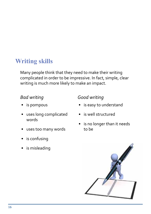## **Writing skills**

Many people think that they need to make their writing complicated in order to be impressive. In fact, simple, clear writing is much more likely to make an impact.

#### *Bad writing*

- is pompous
- • uses long complicated words
- • uses too many words
- is confusing
- is misleading

#### *Good writing*

- • is easy to understand
- is well structured
- • is no longer than it needs to be

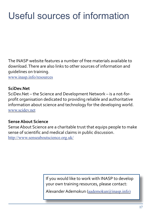# Useful sources of information

The INASP website features a number of free materials available to download. There are also links to other sources of information and guidelines on training.

www.inasp.info/resources

#### **SciDev.Net**

SciDev.Net – the Science and Development Network – is a not-forprofit organisation dedicated to providing reliable and authoritative information about science and technology for the developing world. [www.scidev.net](http://www.scidev.net
)

#### **Sense About Science**

Sense About Science are a charitable trust that equips people to make sense of scientific and medical claims in public discussion. http://www.senseaboutscience.org.uk/

> If you would like to work with INASP to develop your own training resources, please contact:

Alexander Ademokun (aademokun@inasp.info)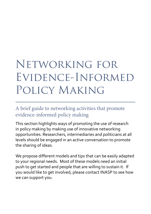# Networking for Evidence-Informed Policy Making

A brief guide to networking activities that promote evidence-informed policy making

This section highlights ways of promoting the use of research in policy making by making use of innovative networking opportunities. Researchers, intermediaries and politicians at all levels should be engaged in an active conversation to promote the sharing of ideas.

We propose different models and tips that can be easily adapted to your regional needs. Most of these models need an initial push to get started and people that are willing to sustain it. If you would like to get involved, please contact INASP to see how we can support you.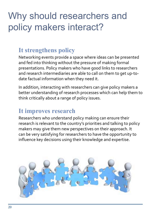# Why should researchers and policy makers interact?

## **It strengthens policy**

Networking events provide a space where ideas can be presented and fed into thinking without the pressure of making formal presentations. Policy makers who have good links to researchers and research intermediaries are able to call on them to get up-todate factual information when they need it.

In addition, interacting with researchers can give policy makers a better understanding of research processes which can help them to think critically about a range of policy issues.

## **It improves research**

Researchers who understand policy making can ensure their research is relevant to the country's priorities and talking to policy makers may give them new perspectives on their approach. It can be very satisfying for researchers to have the opportunity to influence key decisions using their knowledge and expertise.

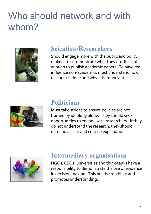# Who should network and with whom?



## **Scientists/Researchers**

Should engage more with the public and policy makers to communicate what they do. It is not enough to publish academic papers. To have real influence non-academics must understand how research is done and why it is important.



#### **Politicians**

Must take strides to ensure policies are not framed by ideology alone. They should seek opportunities to engage with researchers. If they do not understand the research, they should demand a clear and concise explanation.



### **Intermediary organisations**

NGOs, CSOs, universities and think-tanks have a responsibility to demonstrate the use of evidence in decision making. This builds credibility and promotes understanding.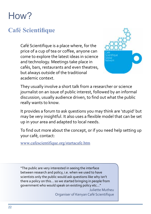# How?

# **Café Scientifique**

Café Scientifique is a place where, for the price of a cup of tea or coffee, anyone can come to explore the latest ideas in science and technology. Meetings take place in cafés, bars, restaurants and even theatres, but always outside of the traditional academic context.



They usually involve a short talk from a researcher or science journalist on an issue of public interest, followed by an informal discussion, usually audience driven, to find out what the public really wants to know.

It provides a forum to ask questions you may think are 'stupid' but may be very insightful. It also uses a flexible model that can be set up in your area and adapted to local needs.

To find out more about the concept, or if you need help setting up your café, contact:

www.cafescientifique.org/startacafe.htm

"The public are very interested in seeing the interface between research and policy, i.e. when we used to have scientists only the public would ask questions like why isn't there a policy on this... so we started bringing in people from government who would speak on existing policy etc..."

> Juliette Mutheu Organiser of Kenyan Café Scientifique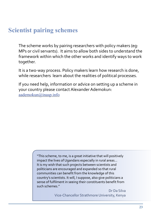## **Scientist pairing schemes**

The scheme works by pairing researchers with policy makers (eg: MPs or civil servants). It aims to allow both sides to understand the framework within which the other works and identify ways to work together.

It is a two-way process. Policy makers learn how research is done, while researchers learn about the realities of political processes.

If you need help, information or advice on setting up a scheme in your country please contact Alexander Ademokun: [aademokun@inasp.info](mailto:aademokun%40inasp.info?subject=)

> "This scheme, to me, is a great initiative that will positively impact the lives of Ugandans especially in rural areas... It is my wish that such projects between scientists and politicians are encouraged and expanded so that rural communities can benefit from the knowledge of this country's scientists. It will, I suppose, also give politicians a sense of fulfilment in seeing their constituents benefit from such schemes."

> > Dr Da Silva Vice-Chancellor Strathmore University, Kenya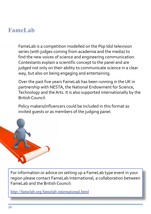### **FameLab**

FameLab is a competition modelled on the Pop Idol television series (with judges coming from academia and the media) to find the new voices of science and engineering communication. Contestants explain a scientific concept to the panel and are judged not only on their ability to communicate science in a clear way, but also on being engaging and entertaining.

Over the past five years FameLab has been running in the UK in partnership with NESTA, the National Endowment for Science, Technology and the Arts. It is also supported internationally by the British Council.

Policy makers/influencers could be included in this format as invited guests or as members of the judging panel.



For information or advice on setting up a FameLab type event in your region please contact FameLab International, a collaboration between FameLab and the British Council:

<http://famelab.org/famelab-international.html>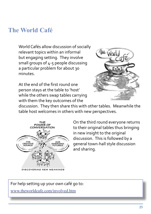## **The World Café**

World Cafés allow discussion of socially relevant topics within an informal but engaging setting. They involve small groups of 4-5 people discussing a particular problem for about 30 minutes.

At the end of the first round one person stays at the table to 'host' while the others swap tables carrying with them the key outcomes of the



discussion. They then share this with other tables. Meanwhile the table host welcomes in others with new perspectives.



DISCOVERING NEW MEANINGS

On the third round everyone returns to their original tables thus bringing in new insight to the original discussion. This is followed by a general town-hall style discussion and sharing.

For help setting up your own café go to:

[www.theworldcafe.com/involved.htm](http://www.theworldcafe.com/involved.htm)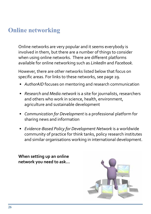## **Online networking**

Online networks are very popular and it seems everybody is involved in them, but there are a number of things to consider when using online networks. There are different platforms available for online networking such as *LinkedIn* and *Facebook*.

However, there are other networks listed below that focus on specific areas. For links to these networks, see page 29.

- *• AuthorAID* focuses on mentoring and research communication
- *• Research and Media network* is a site for journalists, researchers and others who work in science, health, environment, agriculture and sustainable development
- • *Communication for Development* is a professional platform for sharing news and information
- • *Evidence-Based Policy for Development Network* is a worldwide community of practice for think tanks, policy research institutes and similar organisations working in international development.

**When setting up an online network you need to ask...**

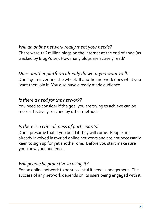#### *Will an online network really meet your needs?* There were 126 million blogs on the internet at the end of 2009 (as tracked by BlogPulse). How many blogs are actively read?

#### *Does another platform already do what you want well?* Don't go reinventing the wheel. If another network does what you want then join it. You also have a ready made audience.

#### *Is there a need for the network?*

You need to consider if the goal you are trying to achieve can be more effectively reached by other methods.

#### *Is there is a critical mass of participants?*

Don't presume that if you build it they will come. People are already involved in myriad online networks and are not necessarily keen to sign up for yet another one. Before you start make sure you know your audience.

#### *Will people be proactive in using it?*

For an online network to be successful it needs engagement. The success of any network depends on its users being engaged with it.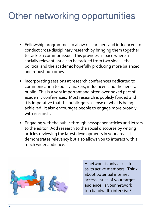# Other networking opportunities

- Fellowship programmes to allow researchers and influencers to conduct cross-disciplinary research by bringing them together to tackle a common issue. This provides a space where a socially relevant issue can be tackled from two sides – the political and the academic hopefully producing more balanced and robust outcomes.
- Incorporating sessions at research conferences dedicated to communicating to policy makers, influencers and the general public. This is a very important and often overlooked part of academic conferences. Most research is publicly funded and it is imperative that the public gets a sense of what is being achieved. It also encourages people to engage more broadly with research.
- Engaging with the public through newspaper articles and letters to the editor. Add research to the social discourse by writing articles reviewing the latest developments in your area. It demonstrates relevancy but also allows you to interact with a much wider audience.



A network is only as useful as its active members. Think about potential internet access issues of your target audience. Is your network too bandwidth intensive?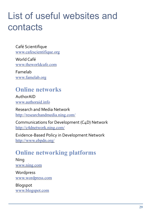# List of useful websites and contacts

Café Scientifique www.cafescientifique.org

World Café www.theworldcafe.com

Famelab www.famelab.org

## **Online networks**

AuthorAID www.authoraid.info

Research and Media Network http://researchandmedia.ning.com/

Communications for Development (C4D) Network http://c4dnetwork.ning.com/

Evidence-Based Policy in Development Network http://www.ebpdn.org/

## **Online networking platforms**

Ning www.ning.com

Wordpress www.wordpress.com

Blogspot www.blogspot.com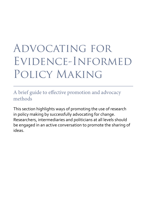# Advocating for Evidence-Informed Policy Making

A brief guide to effective promotion and advocacy methods

This section highlights ways of promoting the use of research in policy making by successfully advocating for change. Researchers, intermediaries and politicians at all levels should be engaged in an active conversation to promote the sharing of ideas.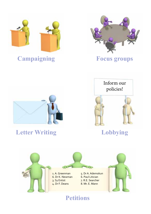

# **Campaigning**



## **Focus groups**



## **Letter Writing**



## **Lobbying**



## **Petitions**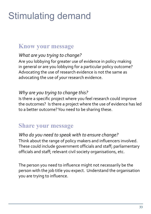# Stimulating demand

## **Know your message**

#### *What are you trying to change?*

Are you lobbying for greater use of evidence in policy making in general or are you lobbying for a particular policy outcome? Advocating the use of research evidence is not the same as advocating the use of *your* research evidence.

#### *Why are you trying to change this?*

Is there a specific project where you feel research could improve the outcomes? Is there a project where the use of evidence has led to a better outcome? You need to be sharing these.

## **Share your message**

#### *Who do you need to speak with to ensure change?*

Think about the range of policy makers and influencers involved. These could include government officials and staff; parliamentary officials and staff; relevant civil society organisations, etc.

The person you need to influence might not necessarily be the person with the job title you expect. Understand the organisation you are trying to influence.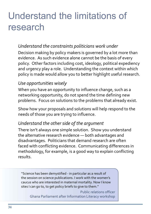# Understand the limitations of research

#### *Understand the constraints politicians work under*

Decision making by policy makers is governed by a lot more than evidence. As such evidence alone cannot be the basis of every policy. Other factors including cost, ideology, political expediency and urgency play a role. Understanding the context within which policy is made would allow you to better highlight useful research.

#### *Use opportunities wisely*

When you have an opportunity to influence change, such as a networking opportunity, do not spend the time defining new problems. Focus on solutions to the problems that already exist.

Show how your proposals and solutions will help respond to the needs of those you are trying to influence.

#### *Understand the other side of the argument*

There isn't always one simple solution. Show you understand the alternative research evidence — both advantages and disadvantages. Politicians that demand research are often faced with conflicting evidence. Communicating differences in methodology, for example, is a good way to explain conflicting results.

''Science has been demystified - in particular as a result of the session on science publications. I work with the women's caucus who are interested in maternal mortality. Now I know sites I can go to, to get policy briefs to give to them.''

Public relations officer Ghana Parliament after Information Literacy workshop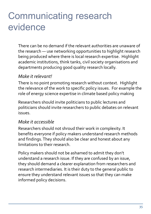# Communicating research evidence

There can be no demand if the relevant authorities are unaware of the research — use networking opportunities to highlight research being produced where there is local research expertise. Highlight academic institutions, think tanks, civil society organisations and departments producing good quality research locally.

#### *Make it relevant!*

There is no point promoting research without context. Highlight the relevance of the work to specific policy issues. For example the role of energy science expertise in climate based policy making

Researchers should invite politicians to public lectures and politicians should invite researchers to public debates on relevant issues.

#### *Make it accessible*

Researchers should not shroud their work in complexity. It benefits everyone if policy makers understand research methods and findings. They should also be clear and honest about any limitations to their research.

Policy makers should not be ashamed to admit they don't understand a research issue. If they are confused by an issue, they should demand a clearer explanation from researchers and research intermediaries. It is their duty to the general public to ensure they understand relevant issues so that they can make informed policy decisions.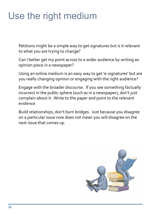# Use the right medium

Petitions might be a simple way to get signatures but is it relevant to what you are trying to change?

Can I better get my point across to a wider audience by writing an opinion piece in a newspaper?

Using an online medium is an easy way to get 'e-signatures' but are you really changing opinion or engaging with the right audience?

Engage with the broader discourse. If you see something factually incorrect in the public sphere (such as in a newspaper), don't just complain about it. Write to the paper and point to the relevant evidence.

Build relationships, don't burn bridges. Just because you disagree on a particular issue now does not mean you will disagree on the next issue that comes up.

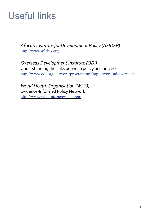# Useful links

*African Institute for Development Policy (AFIDEP)*  <http://www.afidep.org>

*Overseas Development Institute (ODI)* Understanding the links between policy and practice [http://www.odi.org.uk/work/programmes/rapid/work-advisory.asp](http://http://www.odi.org.uk/work/programmes/rapid/work-advisory.asp)

*World Health Organisation (WHO)* Evidence-Informed Policy Network <http://www.who.int/rpc/evipnet/en/>